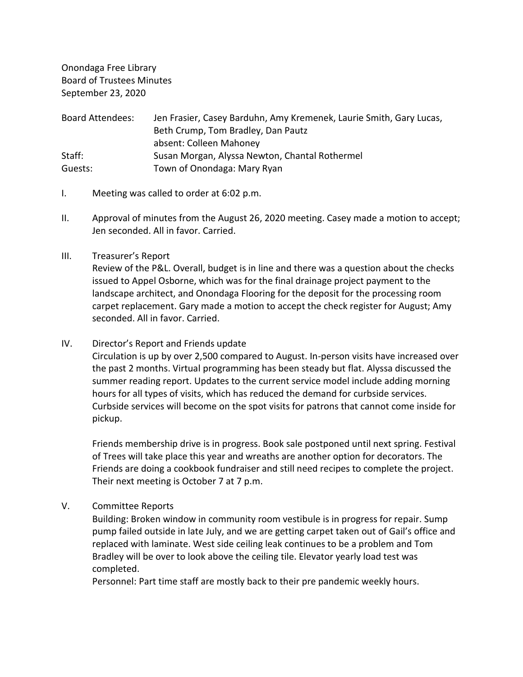Onondaga Free Library Board of Trustees Minutes September 23, 2020

| Board Attendees: | Jen Frasier, Casey Barduhn, Amy Kremenek, Laurie Smith, Gary Lucas, |
|------------------|---------------------------------------------------------------------|
|                  | Beth Crump, Tom Bradley, Dan Pautz                                  |
|                  | absent: Colleen Mahoney                                             |
| Staff:           | Susan Morgan, Alyssa Newton, Chantal Rothermel                      |
| Guests:          | Town of Onondaga: Mary Ryan                                         |

- I. Meeting was called to order at 6:02 p.m.
- II. Approval of minutes from the August 26, 2020 meeting. Casey made a motion to accept; Jen seconded. All in favor. Carried.
- III. Treasurer's Report

Review of the P&L. Overall, budget is in line and there was a question about the checks issued to Appel Osborne, which was for the final drainage project payment to the landscape architect, and Onondaga Flooring for the deposit for the processing room carpet replacement. Gary made a motion to accept the check register for August; Amy seconded. All in favor. Carried.

IV. Director's Report and Friends update

Circulation is up by over 2,500 compared to August. In-person visits have increased over the past 2 months. Virtual programming has been steady but flat. Alyssa discussed the summer reading report. Updates to the current service model include adding morning hours for all types of visits, which has reduced the demand for curbside services. Curbside services will become on the spot visits for patrons that cannot come inside for pickup.

Friends membership drive is in progress. Book sale postponed until next spring. Festival of Trees will take place this year and wreaths are another option for decorators. The Friends are doing a cookbook fundraiser and still need recipes to complete the project. Their next meeting is October 7 at 7 p.m.

V. Committee Reports

Building: Broken window in community room vestibule is in progress for repair. Sump pump failed outside in late July, and we are getting carpet taken out of Gail's office and replaced with laminate. West side ceiling leak continues to be a problem and Tom Bradley will be over to look above the ceiling tile. Elevator yearly load test was completed.

Personnel: Part time staff are mostly back to their pre pandemic weekly hours.